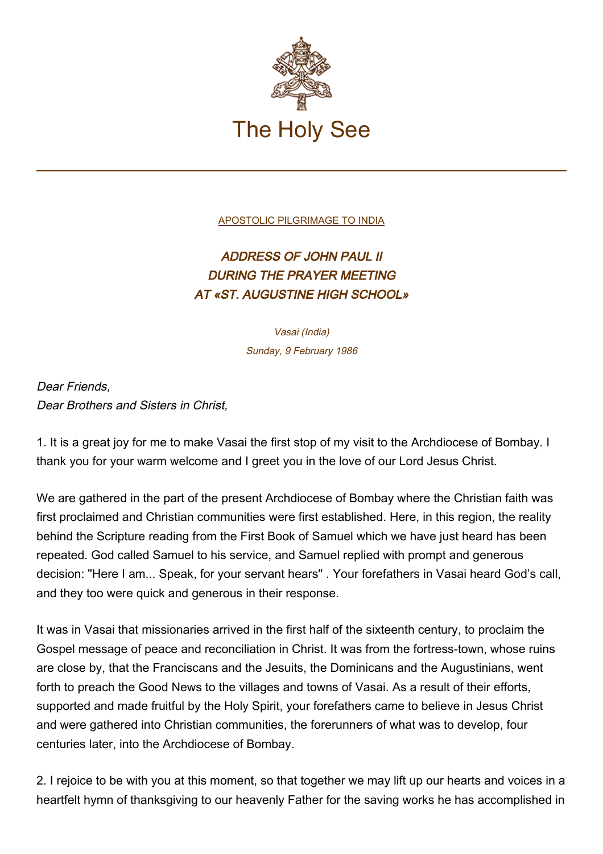

[APOSTOLIC PILGRIMAGE TO INDIA](http://localhost/holy_father/john_paul_ii/travels/sub_index1986/trav_india.htm)

## ADDRESS OF JOHN PAUL II DURING THE PRAYER MEETING AT «ST. AUGUSTINE HIGH SCHOOL»

Vasai (India) Sunday, 9 February 1986

Dear Friends, Dear Brothers and Sisters in Christ,

1. It is a great joy for me to make Vasai the first stop of my visit to the Archdiocese of Bombay. I thank you for your warm welcome and I greet you in the love of our Lord Jesus Christ.

We are gathered in the part of the present Archdiocese of Bombay where the Christian faith was first proclaimed and Christian communities were first established. Here, in this region, the reality behind the Scripture reading from the First Book of Samuel which we have just heard has been repeated. God called Samuel to his service, and Samuel replied with prompt and generous decision: "Here I am... Speak, for your servant hears" . Your forefathers in Vasai heard God's call, and they too were quick and generous in their response.

It was in Vasai that missionaries arrived in the first half of the sixteenth century, to proclaim the Gospel message of peace and reconciliation in Christ. It was from the fortress-town, whose ruins are close by, that the Franciscans and the Jesuits, the Dominicans and the Augustinians, went forth to preach the Good News to the villages and towns of Vasai. As a result of their efforts, supported and made fruitful by the Holy Spirit, your forefathers came to believe in Jesus Christ and were gathered into Christian communities, the forerunners of what was to develop, four centuries later, into the Archdiocese of Bombay.

2. I rejoice to be with you at this moment, so that together we may lift up our hearts and voices in a heartfelt hymn of thanksgiving to our heavenly Father for the saving works he has accomplished in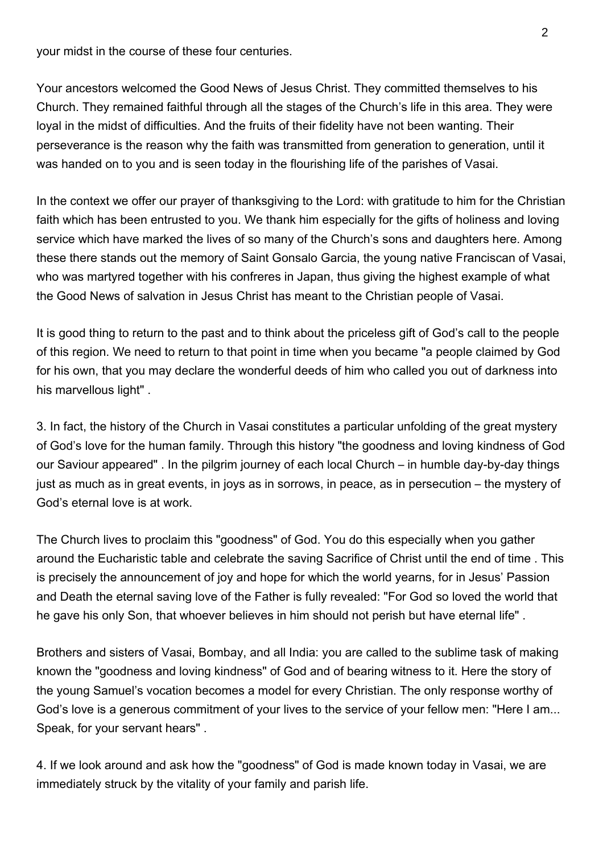your midst in the course of these four centuries.

Your ancestors welcomed the Good News of Jesus Christ. They committed themselves to his Church. They remained faithful through all the stages of the Church's life in this area. They were loyal in the midst of difficulties. And the fruits of their fidelity have not been wanting. Their perseverance is the reason why the faith was transmitted from generation to generation, until it was handed on to you and is seen today in the flourishing life of the parishes of Vasai.

In the context we offer our prayer of thanksgiving to the Lord: with gratitude to him for the Christian faith which has been entrusted to you. We thank him especially for the gifts of holiness and loving service which have marked the lives of so many of the Church's sons and daughters here. Among these there stands out the memory of Saint Gonsalo Garcia, the young native Franciscan of Vasai, who was martyred together with his confreres in Japan, thus giving the highest example of what the Good News of salvation in Jesus Christ has meant to the Christian people of Vasai.

It is good thing to return to the past and to think about the priceless gift of God's call to the people of this region. We need to return to that point in time when you became "a people claimed by God for his own, that you may declare the wonderful deeds of him who called you out of darkness into his marvellous light" .

3. In fact, the history of the Church in Vasai constitutes a particular unfolding of the great mystery of God's love for the human family. Through this history "the goodness and loving kindness of God our Saviour appeared" . In the pilgrim journey of each local Church – in humble day-by-day things just as much as in great events, in joys as in sorrows, in peace, as in persecution – the mystery of God's eternal love is at work.

The Church lives to proclaim this "goodness" of God. You do this especially when you gather around the Eucharistic table and celebrate the saving Sacrifice of Christ until the end of time . This is precisely the announcement of joy and hope for which the world yearns, for in Jesus' Passion and Death the eternal saving love of the Father is fully revealed: "For God so loved the world that he gave his only Son, that whoever believes in him should not perish but have eternal life" .

Brothers and sisters of Vasai, Bombay, and all India: you are called to the sublime task of making known the "goodness and loving kindness" of God and of bearing witness to it. Here the story of the young Samuel's vocation becomes a model for every Christian. The only response worthy of God's love is a generous commitment of your lives to the service of your fellow men: "Here I am... Speak, for your servant hears" .

4. If we look around and ask how the "goodness" of God is made known today in Vasai, we are immediately struck by the vitality of your family and parish life.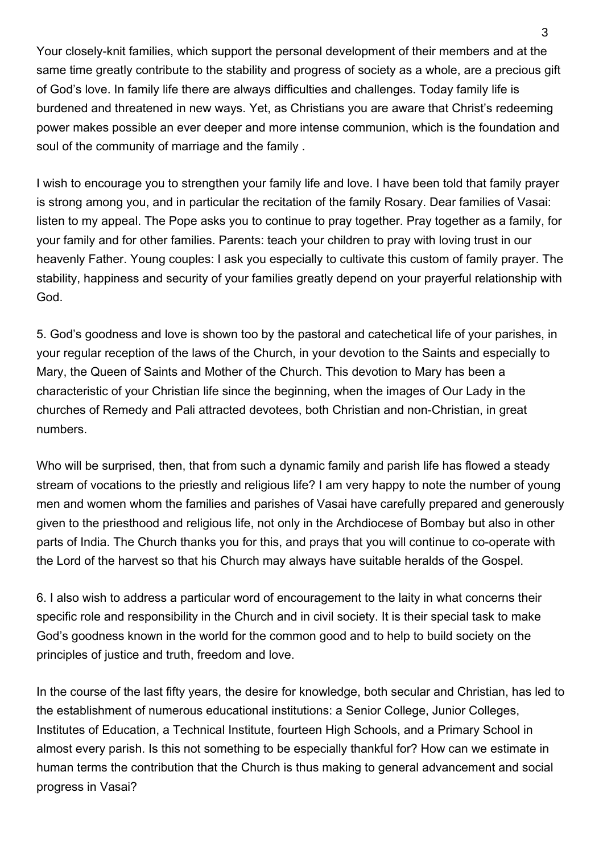Your closely-knit families, which support the personal development of their members and at the same time greatly contribute to the stability and progress of society as a whole, are a precious gift of God's love. In family life there are always difficulties and challenges. Today family life is burdened and threatened in new ways. Yet, as Christians you are aware that Christ's redeeming power makes possible an ever deeper and more intense communion, which is the foundation and soul of the community of marriage and the family .

I wish to encourage you to strengthen your family life and love. I have been told that family prayer is strong among you, and in particular the recitation of the family Rosary. Dear families of Vasai: listen to my appeal. The Pope asks you to continue to pray together. Pray together as a family, for your family and for other families. Parents: teach your children to pray with loving trust in our heavenly Father. Young couples: I ask you especially to cultivate this custom of family prayer. The stability, happiness and security of your families greatly depend on your prayerful relationship with God.

5. God's goodness and love is shown too by the pastoral and catechetical life of your parishes, in your regular reception of the laws of the Church, in your devotion to the Saints and especially to Mary, the Queen of Saints and Mother of the Church. This devotion to Mary has been a characteristic of your Christian life since the beginning, when the images of Our Lady in the churches of Remedy and Pali attracted devotees, both Christian and non-Christian, in great numbers.

Who will be surprised, then, that from such a dynamic family and parish life has flowed a steady stream of vocations to the priestly and religious life? I am very happy to note the number of young men and women whom the families and parishes of Vasai have carefully prepared and generously given to the priesthood and religious life, not only in the Archdiocese of Bombay but also in other parts of India. The Church thanks you for this, and prays that you will continue to co-operate with the Lord of the harvest so that his Church may always have suitable heralds of the Gospel.

6. I also wish to address a particular word of encouragement to the laity in what concerns their specific role and responsibility in the Church and in civil society. It is their special task to make God's goodness known in the world for the common good and to help to build society on the principles of justice and truth, freedom and love.

In the course of the last fifty years, the desire for knowledge, both secular and Christian, has led to the establishment of numerous educational institutions: a Senior College, Junior Colleges, Institutes of Education, a Technical Institute, fourteen High Schools, and a Primary School in almost every parish. Is this not something to be especially thankful for? How can we estimate in human terms the contribution that the Church is thus making to general advancement and social progress in Vasai?